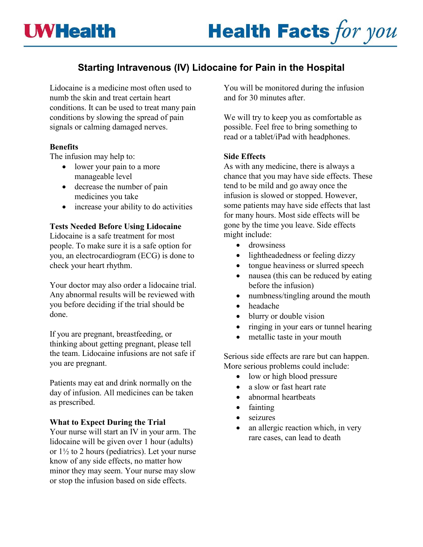# **Starting Intravenous (IV) Lidocaine for Pain in the Hospital**

Lidocaine is a medicine most often used to numb the skin and treat certain heart conditions. It can be used to treat many pain conditions by slowing the spread of pain signals or calming damaged nerves.

## **Benefits**

The infusion may help to:

- lower your pain to a more manageable level
- decrease the number of pain medicines you take
- increase your ability to do activities

# **Tests Needed Before Using Lidocaine**

Lidocaine is a safe treatment for most people. To make sure it is a safe option for you, an electrocardiogram (ECG) is done to check your heart rhythm.

Your doctor may also order a lidocaine trial. Any abnormal results will be reviewed with you before deciding if the trial should be done.

If you are pregnant, breastfeeding, or thinking about getting pregnant, please tell the team. Lidocaine infusions are not safe if you are pregnant.

Patients may eat and drink normally on the day of infusion. All medicines can be taken as prescribed.

## **What to Expect During the Trial**

Your nurse will start an IV in your arm. The lidocaine will be given over 1 hour (adults) or  $1\frac{1}{2}$  to 2 hours (pediatrics). Let your nurse know of any side effects, no matter how minor they may seem. Your nurse may slow or stop the infusion based on side effects.

You will be monitored during the infusion and for 30 minutes after.

We will try to keep you as comfortable as possible. Feel free to bring something to read or a tablet/iPad with headphones.

# **Side Effects**

As with any medicine, there is always a chance that you may have side effects. These tend to be mild and go away once the infusion is slowed or stopped. However, some patients may have side effects that last for many hours. Most side effects will be gone by the time you leave. Side effects might include:

- drowsiness
- lightheadedness or feeling dizzy
- tongue heaviness or slurred speech
- nausea (this can be reduced by eating before the infusion)
- numbness/tingling around the mouth
- headache
- blurry or double vision
- ringing in your ears or tunnel hearing
- metallic taste in your mouth

Serious side effects are rare but can happen. More serious problems could include:

- low or high blood pressure
- a slow or fast heart rate
- abnormal heartbeats
- fainting
- seizures
- an allergic reaction which, in very rare cases, can lead to death